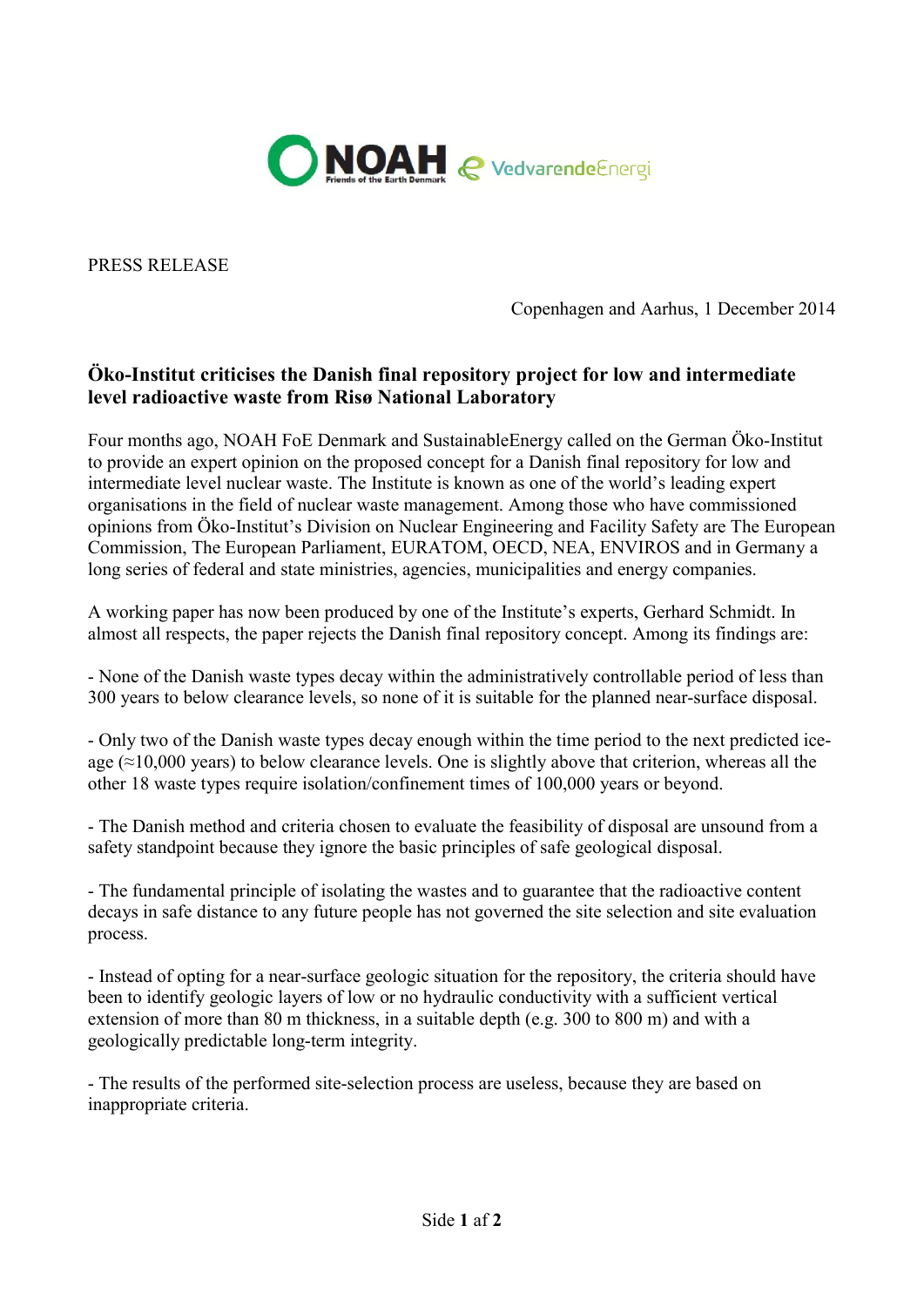

PRESS RELEASE

Copenhagen and Aarhus, 1 December 2014

## Öko-Institut criticises the Danish final repository project for low and intermediate level radioactive waste from Risø National Laboratory

Four months ago, NOAH FoE Denmark and SustainableEnergy called on the German Öko-Institut to provide an expert opinion on the proposed concept for a Danish final repository for low and intermediate level nuclear waste. The Institute is known as one of the world's leading expert organisations in the field of nuclear waste management. Among those who have commissioned opinions from Öko-Institut's Division on Nuclear Engineering and Facility Safety are The European Commission, The European Parliament, EURATOM, OECD, NEA, ENVIROS and in Germany a long series of federal and state ministries, agencies, municipalities and energy companies.

A working paper has now been produced by one of the Institute's experts, Gerhard Schmidt. In almost all respects, the paper rejects the Danish final repository concept. Among its findings are:

- None of the Danish waste types decay within the administratively controllable period of less than 300 years to below clearance levels, so none of it is suitable for the planned near-surface disposal.

- Only two of the Danish waste types decay enough within the time period to the next predicted iceage ( $\approx$ 10,000 years) to below clearance levels. One is slightly above that criterion, whereas all the other 18 waste types require isolation/confinement times of 100,000 years or beyond.

- The Danish method and criteria chosen to evaluate the feasibility of disposal are unsound from a safety standpoint because they ignore the basic principles of safe geological disposal.

- The fundamental principle of isolating the wastes and to guarantee that the radioactive content decays in safe distance to any future people has not governed the site selection and site evaluation process.

- Instead of opting for a near-surface geologic situation for the repository, the criteria should have been to identify geologic layers of low or no hydraulic conductivity with a sufficient vertical extension of more than 80 m thickness, in a suitable depth (e.g. 300 to 800 m) and with a geologically predictable long-term integrity.

- The results of the performed site-selection process are useless, because they are based on inappropriate criteria.